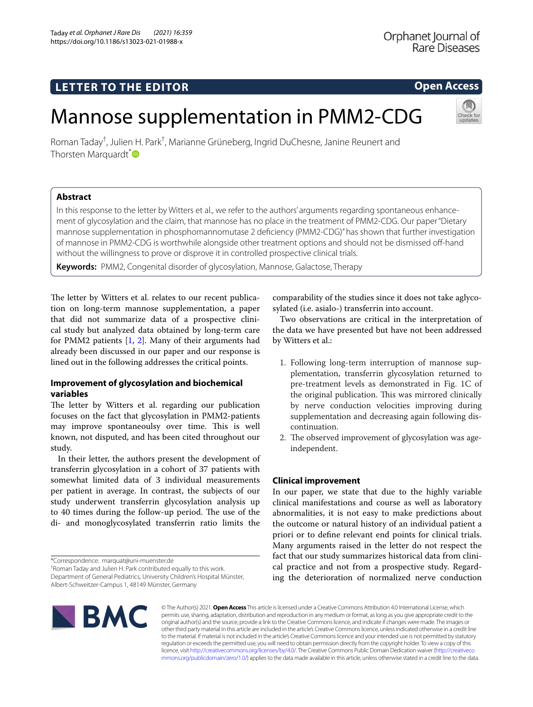# **LETTER TO THE EDITOR**

# Mannose supplementation in PMM2-CDG

Roman Taday<sup>†</sup>, Julien H. Park<sup>†</sup>, Marianne Grüneberg, Ingrid DuChesne, Janine Reunert and Thorsten Marquardt<sup>[\\*](http://orcid.org/0000-0002-9982-2981)</sup>

# **Abstract**

In this response to the letter by Witters et al., we refer to the authors' arguments regarding spontaneous enhancement of glycosylation and the claim, that mannose has no place in the treatment of PMM2-CDG. Our paper "Dietary mannose supplementation in phosphomannomutase 2 defciency (PMM2-CDG)" has shown that further investigation of mannose in PMM2-CDG is worthwhile alongside other treatment options and should not be dismissed off-hand without the willingness to prove or disprove it in controlled prospective clinical trials.

**Keywords:** PMM2, Congenital disorder of glycosylation, Mannose, Galactose, Therapy

The letter by Witters et al. relates to our recent publication on long-term mannose supplementation, a paper that did not summarize data of a prospective clinical study but analyzed data obtained by long-term care for PMM2 patients  $[1, 2]$  $[1, 2]$  $[1, 2]$ . Many of their arguments had already been discussed in our paper and our response is lined out in the following addresses the critical points.

## **Improvement of glycosylation and biochemical variables**

The letter by Witters et al. regarding our publication focuses on the fact that glycosylation in PMM2-patients may improve spontaneoulsy over time. This is well known, not disputed, and has been cited throughout our study.

In their letter, the authors present the development of transferrin glycosylation in a cohort of 37 patients with somewhat limited data of 3 individual measurements per patient in average. In contrast, the subjects of our study underwent transferrin glycosylation analysis up to 40 times during the follow-up period. The use of the di- and monoglycosylated transferrin ratio limits the

\*Correspondence: marquat@uni-muenster.de

† Roman Taday and Julien H. Park contributed equally to this work. Department of General Pediatrics, University Children's Hospital Münster, Albert-Schweitzer-Campus 1, 48149 Münster, Germany

comparability of the studies since it does not take aglycosylated (i.e. asialo-) transferrin into account.

Two observations are critical in the interpretation of the data we have presented but have not been addressed by Witters et al.:

- 1. Following long-term interruption of mannose supplementation, transferrin glycosylation returned to pre-treatment levels as demonstrated in Fig. 1C of the original publication. This was mirrored clinically by nerve conduction velocities improving during supplementation and decreasing again following discontinuation.
- 2. The observed improvement of glycosylation was ageindependent.

## **Clinical improvement**

In our paper, we state that due to the highly variable clinical manifestations and course as well as laboratory abnormalities, it is not easy to make predictions about the outcome or natural history of an individual patient a priori or to defne relevant end points for clinical trials. Many arguments raised in the letter do not respect the fact that our study summarizes historical data from clinical practice and not from a prospective study. Regarding the deterioration of normalized nerve conduction





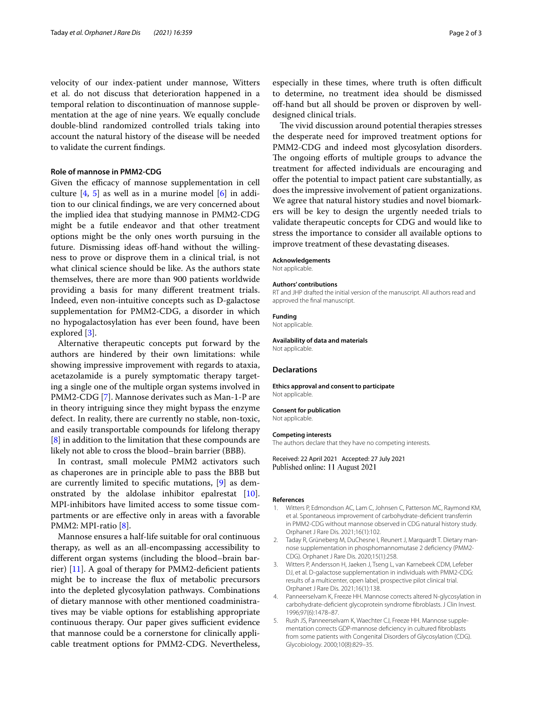velocity of our index-patient under mannose, Witters et al. do not discuss that deterioration happened in a temporal relation to discontinuation of mannose supplementation at the age of nine years. We equally conclude double-blind randomized controlled trials taking into account the natural history of the disease will be needed to validate the current fndings.

## **Role of mannose in PMM2‑CDG**

Given the efficacy of mannose supplementation in cell culture  $[4, 5]$  $[4, 5]$  $[4, 5]$  $[4, 5]$  $[4, 5]$  as well as in a murine model  $[6]$  $[6]$  in addition to our clinical fndings, we are very concerned about the implied idea that studying mannose in PMM2-CDG might be a futile endeavor and that other treatment options might be the only ones worth pursuing in the future. Dismissing ideas off-hand without the willingness to prove or disprove them in a clinical trial, is not what clinical science should be like. As the authors state themselves, there are more than 900 patients worldwide providing a basis for many diferent treatment trials. Indeed, even non-intuitive concepts such as D-galactose supplementation for PMM2-CDG, a disorder in which no hypogalactosylation has ever been found, have been explored [[3\]](#page-1-4).

Alternative therapeutic concepts put forward by the authors are hindered by their own limitations: while showing impressive improvement with regards to ataxia, acetazolamide is a purely symptomatic therapy targeting a single one of the multiple organ systems involved in PMM2-CDG [[7\]](#page-2-1). Mannose derivates such as Man-1-P are in theory intriguing since they might bypass the enzyme defect. In reality, there are currently no stable, non-toxic, and easily transportable compounds for lifelong therapy [[8\]](#page-2-2) in addition to the limitation that these compounds are likely not able to cross the blood–brain barrier (BBB).

In contrast, small molecule PMM2 activators such as chaperones are in principle able to pass the BBB but are currently limited to specifc mutations, [[9\]](#page-2-3) as demonstrated by the aldolase inhibitor epalrestat [\[10](#page-2-4)]. MPI-inhibitors have limited access to some tissue compartments or are efective only in areas with a favorable PMM2: MPI-ratio [\[8](#page-2-2)].

Mannose ensures a half-life suitable for oral continuous therapy, as well as an all-encompassing accessibility to diferent organ systems (including the blood–brain barrier)  $[11]$  $[11]$  $[11]$ . A goal of therapy for PMM2-deficient patients might be to increase the fux of metabolic precursors into the depleted glycosylation pathways. Combinations of dietary mannose with other mentioned coadministratives may be viable options for establishing appropriate continuous therapy. Our paper gives sufficient evidence that mannose could be a cornerstone for clinically applicable treatment options for PMM2-CDG. Nevertheless,

The vivid discussion around potential therapies stresses the desperate need for improved treatment options for PMM2-CDG and indeed most glycosylation disorders. The ongoing efforts of multiple groups to advance the treatment for afected individuals are encouraging and offer the potential to impact patient care substantially, as does the impressive involvement of patient organizations. We agree that natural history studies and novel biomarkers will be key to design the urgently needed trials to validate therapeutic concepts for CDG and would like to stress the importance to consider all available options to improve treatment of these devastating diseases.

#### **Acknowledgements**

designed clinical trials.

Not applicable.

#### **Authors' contributions**

RT and JHP drafted the initial version of the manuscript. All authors read and approved the fnal manuscript.

#### **Funding**

Not applicable.

**Availability of data and materials** Not applicable.

### **Declarations**

**Ethics approval and consent to participate** Not applicable.

#### **Consent for publication**

Not applicable.

#### **Competing interests**

The authors declare that they have no competing interests.

Received: 22 April 2021 Accepted: 27 July 2021 Published online: 11 August 2021

#### **References**

- <span id="page-1-0"></span>1. Witters P, Edmondson AC, Lam C, Johnsen C, Patterson MC, Raymond KM, et al. Spontaneous improvement of carbohydrate-defcient transferrin in PMM2-CDG without mannose observed in CDG natural history study. Orphanet J Rare Dis. 2021;16(1):102.
- <span id="page-1-1"></span>2. Taday R, Grüneberg M, DuChesne I, Reunert J, Marquardt T. Dietary mannose supplementation in phosphomannomutase 2 defciency (PMM2- CDG). Orphanet J Rare Dis. 2020;15(1):258.
- <span id="page-1-4"></span>3. Witters P, Andersson H, Jaeken J, Tseng L, van Karnebeek CDM, Lefeber DJ, et al. D-galactose supplementation in individuals with PMM2-CDG: results of a multicenter, open label, prospective pilot clinical trial. Orphanet J Rare Dis. 2021;16(1):138.
- <span id="page-1-2"></span>4. Panneerselvam K, Freeze HH. Mannose corrects altered N-glycosylation in carbohydrate-defcient glycoprotein syndrome fbroblasts. J Clin Invest. 1996;97(6):1478–87.
- <span id="page-1-3"></span>5. Rush JS, Panneerselvam K, Waechter CJ, Freeze HH. Mannose supplementation corrects GDP-mannose defciency in cultured fbroblasts from some patients with Congenital Disorders of Glycosylation (CDG). Glycobiology. 2000;10(8):829–35.